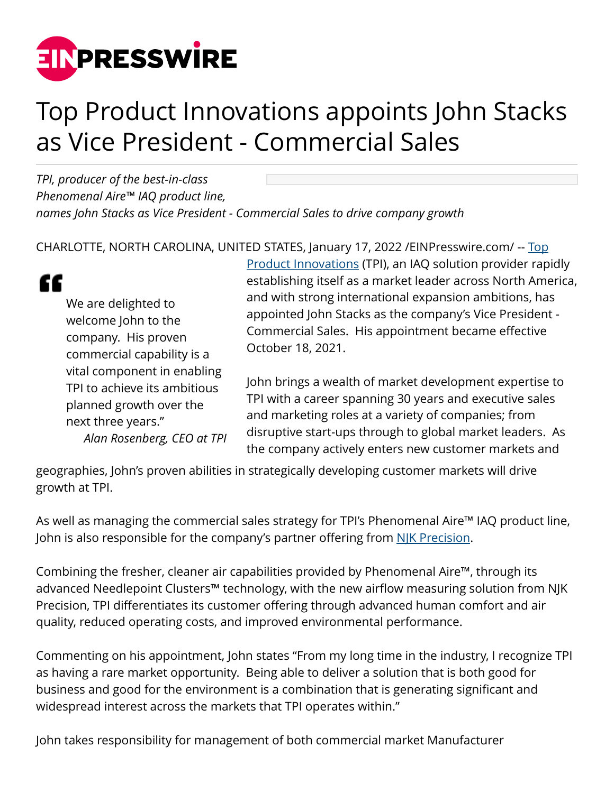

## Top Product Innovations appoints John Stacks as Vice President - Commercial Sales

*TPI, producer of the best-in-class Phenomenal Aire™ IAQ product line, names John Stacks as Vice President - Commercial Sales to drive company growth*

CHARLOTTE, NORTH CAROLINA, UNITED STATES, January 17, 2022 [/EINPresswire.com/](http://www.einpresswire.com) -- [Top](https://www.topproductinnovations.com/)



We are delighted to welcome John to the company. His proven commercial capability is a vital component in enabling TPI to achieve its ambitious planned growth over the next three years." *Alan Rosenberg, CEO at TPI* [Product Innovations](https://www.topproductinnovations.com/) (TPI), an IAQ solution provider rapidly establishing itself as a market leader across North America, and with strong international expansion ambitions, has appointed John Stacks as the company's Vice President - Commercial Sales. His appointment became effective October 18, 2021.

John brings a wealth of market development expertise to TPI with a career spanning 30 years and executive sales and marketing roles at a variety of companies; from disruptive start-ups through to global market leaders. As the company actively enters new customer markets and

geographies, John's proven abilities in strategically developing customer markets will drive growth at TPI.

As well as managing the commercial sales strategy for TPI's Phenomenal Aire™ IAQ product line, John is also responsible for the company's partner offering from [NJK Precision](https://www.njkprecision.com/).

Combining the fresher, cleaner air capabilities provided by Phenomenal Aire™, through its advanced Needlepoint Clusters™ technology, with the new airflow measuring solution from NJK Precision, TPI differentiates its customer offering through advanced human comfort and air quality, reduced operating costs, and improved environmental performance.

Commenting on his appointment, John states "From my long time in the industry, I recognize TPI as having a rare market opportunity. Being able to deliver a solution that is both good for business and good for the environment is a combination that is generating significant and widespread interest across the markets that TPI operates within."

John takes responsibility for management of both commercial market Manufacturer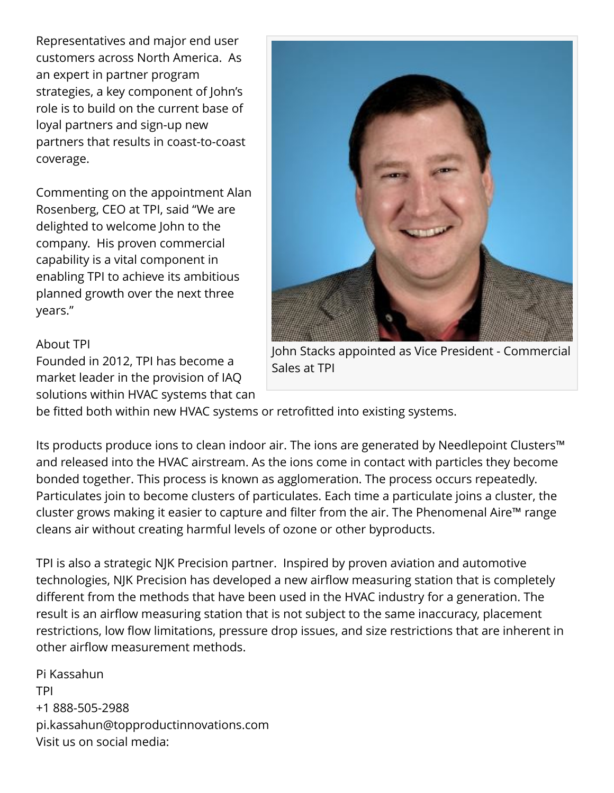Representatives and major end user customers across North America. As an expert in partner program strategies, a key component of John's role is to build on the current base of loyal partners and sign-up new partners that results in coast-to-coast coverage.

Commenting on the appointment Alan Rosenberg, CEO at TPI, said "We are delighted to welcome John to the company. His proven commercial capability is a vital component in enabling TPI to achieve its ambitious planned growth over the next three years."

## About TPI

Founded in 2012, TPI has become a market leader in the provision of IAQ solutions within HVAC systems that can



John Stacks appointed as Vice President - Commercial Sales at TPI

be fitted both within new HVAC systems or retrofitted into existing systems.

Its products produce ions to clean indoor air. The ions are generated by Needlepoint Clusters™ and released into the HVAC airstream. As the ions come in contact with particles they become bonded together. This process is known as agglomeration. The process occurs repeatedly. Particulates join to become clusters of particulates. Each time a particulate joins a cluster, the cluster grows making it easier to capture and filter from the air. The Phenomenal Aire™ range cleans air without creating harmful levels of ozone or other byproducts.

TPI is also a strategic NJK Precision partner. Inspired by proven aviation and automotive technologies, NJK Precision has developed a new airflow measuring station that is completely different from the methods that have been used in the HVAC industry for a generation. The result is an airflow measuring station that is not subject to the same inaccuracy, placement restrictions, low flow limitations, pressure drop issues, and size restrictions that are inherent in other airflow measurement methods.

Pi Kassahun TPI +1 888-505-2988 pi.kassahun@topproductinnovations.com Visit us on social media: